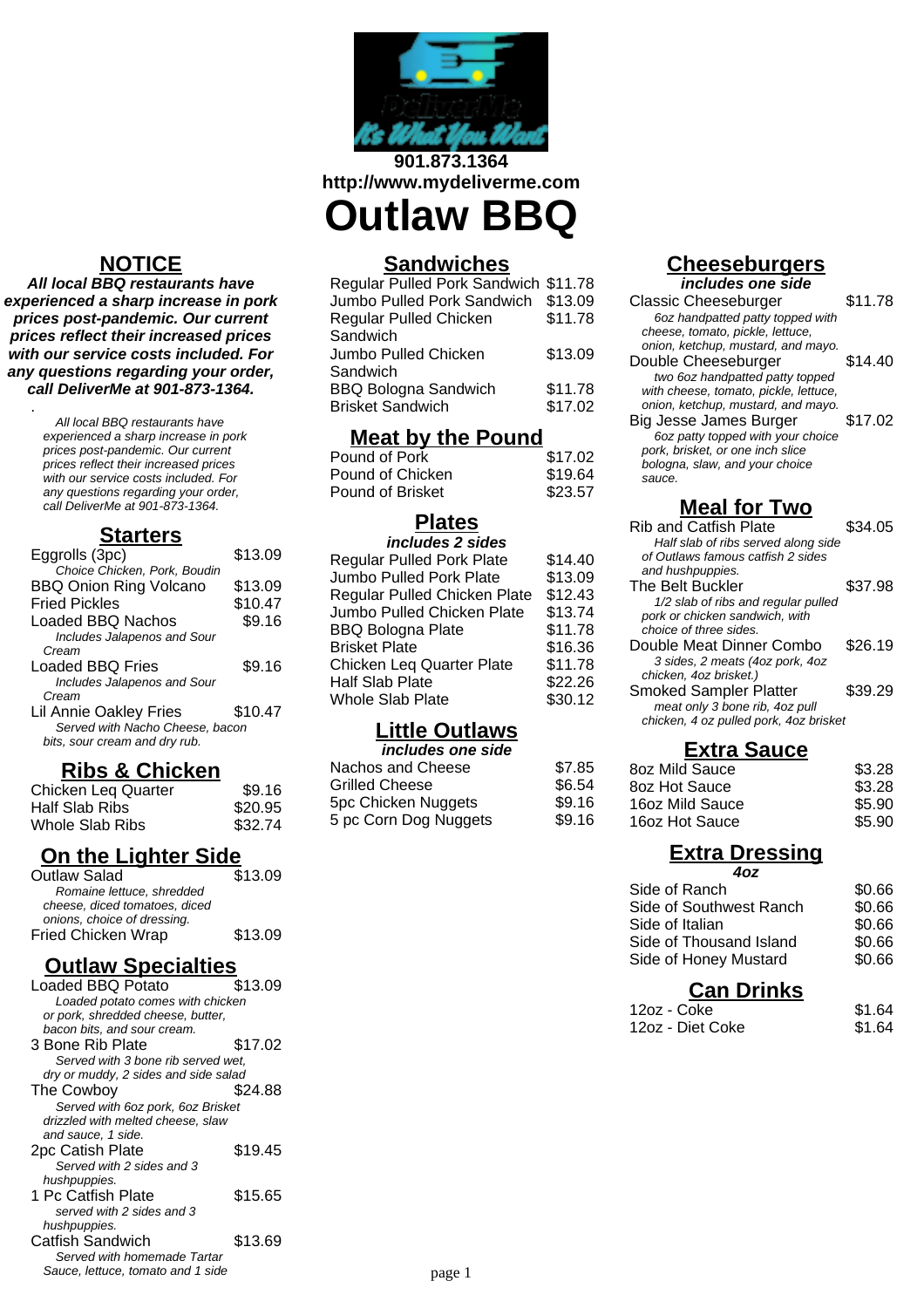

**901.873.1364 http://www.mydeliverme.com**

# **Outlaw BBQ**

#### **Sandwiches**

| Regular Pulled Pork Sandwich \$11.78 |         |
|--------------------------------------|---------|
| Jumbo Pulled Pork Sandwich           | \$13.09 |
| Regular Pulled Chicken               | \$11.78 |
| Sandwich                             |         |
| Jumbo Pulled Chicken                 | \$13.09 |
| Sandwich                             |         |
| <b>BBQ Bologna Sandwich</b>          | \$11.78 |
| <b>Brisket Sandwich</b>              | \$17.02 |

#### **Meat by the Pound**

| Pound of Pork    | \$17.02 |
|------------------|---------|
| Pound of Chicken | \$19.64 |
| Pound of Brisket | \$23.57 |

#### **Plates**

| includes 2 sides                 |         |
|----------------------------------|---------|
| <b>Regular Pulled Pork Plate</b> | \$14.40 |
| Jumbo Pulled Pork Plate          | \$13.09 |
| Regular Pulled Chicken Plate     | \$12.43 |
| Jumbo Pulled Chicken Plate       | \$13.74 |
| <b>BBQ Bologna Plate</b>         | \$11.78 |
| <b>Brisket Plate</b>             | \$16.36 |
| <b>Chicken Leg Quarter Plate</b> | \$11.78 |
| <b>Half Slab Plate</b>           | \$22.26 |
| <b>Whole Slab Plate</b>          | \$30.12 |
|                                  |         |

## **Little Outlaws**

| \$7.85 |
|--------|
| \$6.54 |
| \$9.16 |
| \$9.16 |
|        |

#### **Cheeseburgers**

**includes one side**

| Classic Cheeseburger                  | \$11.78 |
|---------------------------------------|---------|
| 6oz handpatted patty topped with      |         |
| cheese, tomato, pickle, lettuce,      |         |
| onion, ketchup, mustard, and mayo.    |         |
| Double Cheeseburger                   | \$14.40 |
| two 6oz handpatted patty topped       |         |
| with cheese, tomato, pickle, lettuce, |         |
| onion, ketchup, mustard, and mayo.    |         |
| Big Jesse James Burger                | \$17.02 |
| 6oz patty topped with your choice     |         |
| pork, brisket, or one inch slice      |         |
| bologna, slaw, and your choice        |         |
| sauce.                                |         |
|                                       |         |

#### **Meal for Two**

| <b>Rib and Catfish Plate</b>           | \$34.05 |
|----------------------------------------|---------|
| Half slab of ribs served along side    |         |
| of Outlaws famous catfish 2 sides      |         |
| and hushpuppies.                       |         |
| The Belt Buckler                       | \$37.98 |
| 1/2 slab of ribs and regular pulled    |         |
| pork or chicken sandwich, with         |         |
| choice of three sides.                 |         |
| Double Meat Dinner Combo               | \$26.19 |
| 3 sides, 2 meats (4oz pork, 4oz        |         |
| chicken, 4oz brisket.)                 |         |
| <b>Smoked Sampler Platter</b>          | \$39.29 |
| meat only 3 bone rib, 4oz pull         |         |
| chicken, 4 oz pulled pork, 4oz brisket |         |
|                                        |         |

### **Extra Sauce**

| 8oz Mild Sauce  | \$3.28 |
|-----------------|--------|
| 8oz Hot Sauce   | \$3.28 |
| 16oz Mild Sauce | \$5.90 |
| 16oz Hot Sauce  | \$5.90 |

#### **Extra Dressing 4oz**

| Side of Ranch           | \$0.66 |
|-------------------------|--------|
| Side of Southwest Ranch | \$0.66 |
| Side of Italian         | \$0.66 |
| Side of Thousand Island | \$0.66 |
| Side of Honey Mustard   | \$0.66 |
|                         |        |

#### **Can Drinks**

| 12oz - Coke      | \$1.64 |
|------------------|--------|
| 12oz - Diet Coke | \$1.64 |

# **NOTICE**

**All local BBQ restaurants have experienced a sharp increase in pork prices post-pandemic. Our current prices reflect their increased prices with our service costs included. For any questions regarding your order, call DeliverMe at 901-873-1364.**

> All local BBQ restaurants have experienced a sharp increase in pork prices post-pandemic. Our current prices reflect their increased prices with our service costs included. For any questions regarding your order, call DeliverMe at 901-873-1364.

.

#### **Starters**

| Eggrolls (3pc)                  | \$13.09 |
|---------------------------------|---------|
| Choice Chicken, Pork, Boudin    |         |
| <b>BBQ Onion Ring Volcano</b>   | \$13.09 |
| <b>Fried Pickles</b>            | \$10.47 |
| <b>Loaded BBQ Nachos</b>        | \$9.16  |
| Includes Jalapenos and Sour     |         |
| Cream                           |         |
| Loaded BBQ Fries                | \$9.16  |
| Includes Jalapenos and Sour     |         |
| Cream                           |         |
| <b>Lil Annie Oakley Fries</b>   | \$10.47 |
| Served with Nacho Cheese, bacon |         |
| bits, sour cream and dry rub.   |         |
|                                 |         |

#### **Ribs & Chicken**

| Chicken Leq Quarter | \$9.16  |
|---------------------|---------|
| Half Slab Ribs      | \$20.95 |
| Whole Slab Ribs     | \$32.74 |

# **On the Lighter Side**

| Outlaw Salad                  | \$13.09 |
|-------------------------------|---------|
| Romaine lettuce, shredded     |         |
| cheese, diced tomatoes, diced |         |
| onions, choice of dressing.   |         |
| <b>Fried Chicken Wrap</b>     | \$13.09 |
|                               |         |

#### **Outlaw Specialties**

| <b>Loaded BBQ Potato</b>             | \$13.09 |
|--------------------------------------|---------|
| Loaded potato comes with chicken     |         |
| or pork, shredded cheese, butter,    |         |
| bacon bits, and sour cream.          |         |
| 3 Bone Rib Plate                     | \$17.02 |
| Served with 3 bone rib served wet,   |         |
| dry or muddy, 2 sides and side salad |         |
| The Cowbov                           | \$24.88 |
| Served with 6oz pork, 6oz Brisket    |         |
| drizzled with melted cheese, slaw    |         |
| and sauce, 1 side.                   |         |
| 2pc Catish Plate                     | \$19.45 |
| Served with 2 sides and 3            |         |
| hushpuppies.                         |         |
| 1 Pc Catfish Plate                   | \$15.65 |
| served with 2 sides and 3            |         |
| hushpuppies.                         |         |
| Catfish Sandwich                     | \$13.69 |
| Served with homemade Tartar          |         |
| Sauce, lettuce, tomato and 1 side    |         |
|                                      |         |